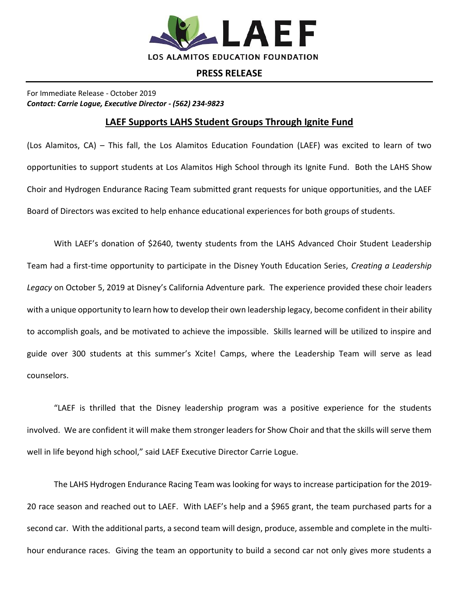

## **PRESS RELEASE**

For Immediate Release - October 2019 *Contact: Carrie Logue, Executive Director - (562) 234-9823*

## **LAEF Supports LAHS Student Groups Through Ignite Fund**

(Los Alamitos, CA) – This fall, the Los Alamitos Education Foundation (LAEF) was excited to learn of two opportunities to support students at Los Alamitos High School through its Ignite Fund. Both the LAHS Show Choir and Hydrogen Endurance Racing Team submitted grant requests for unique opportunities, and the LAEF Board of Directors was excited to help enhance educational experiences for both groups of students.

With LAEF's donation of \$2640, twenty students from the LAHS Advanced Choir Student Leadership Team had a first-time opportunity to participate in the Disney Youth Education Series, *Creating a Leadership Legacy* on October 5, 2019 at Disney's California Adventure park. The experience provided these choir leaders with a unique opportunity to learn how to develop their own leadership legacy, become confident in their ability to accomplish goals, and be motivated to achieve the impossible. Skills learned will be utilized to inspire and guide over 300 students at this summer's Xcite! Camps, where the Leadership Team will serve as lead counselors.

"LAEF is thrilled that the Disney leadership program was a positive experience for the students involved. We are confident it will make them stronger leaders for Show Choir and that the skills will serve them well in life beyond high school," said LAEF Executive Director Carrie Logue.

The LAHS Hydrogen Endurance Racing Team was looking for ways to increase participation for the 2019- 20 race season and reached out to LAEF. With LAEF's help and a \$965 grant, the team purchased parts for a second car. With the additional parts, a second team will design, produce, assemble and complete in the multihour endurance races. Giving the team an opportunity to build a second car not only gives more students a